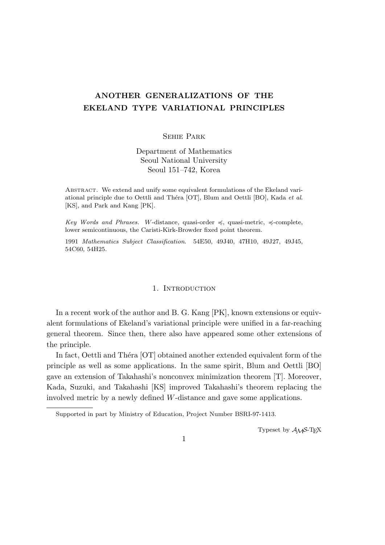# **ANOTHER GENERALIZATIONS OF THE EKELAND TYPE VARIATIONAL PRINCIPLES**

## Sehie Park

Department of Mathematics Seoul National University Seoul 151–742, Korea

Abstract. We extend and unify some equivalent formulations of the Ekeland variational principle due to Oettli and Th´era [OT], Blum and Oettli [BO], Kada *et al*. [KS], and Park and Kang [PK].

*Key Words and Phrases. W*-distance, quasi-order  $\preccurlyeq$ , quasi-metric,  $\preccurlyeq$ -complete, lower semicontinuous, the Caristi-Kirk-Browder fixed point theorem.

1991 *Mathematics Subject Classification*. 54E50, 49J40, 47H10, 49J27, 49J45, 54C60, 54H25.

#### 1. INTRODUCTION

In a recent work of the author and B. G. Kang [PK], known extensions or equivalent formulations of Ekeland's variational principle were unified in a far-reaching general theorem. Since then, there also have appeared some other extensions of the principle.

In fact, Oettli and Théra  $[OT]$  obtained another extended equivalent form of the principle as well as some applications. In the same spirit, Blum and Oettli [BO] gave an extension of Takahashi's nonconvex minimization theorem [T]. Moreover, Kada, Suzuki, and Takahashi [KS] improved Takahashi's theorem replacing the involved metric by a newly defined *W*-distance and gave some applications.

Typeset by  $\mathcal{A}_{\mathcal{M}}\mathcal{S}\text{-}\mathrm{Tr}X$ 

1

Supported in part by Ministry of Education, Project Number BSRI-97-1413.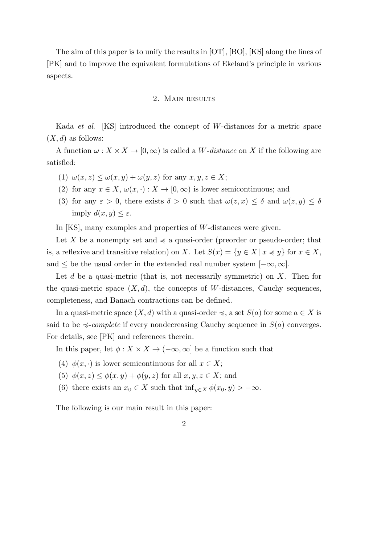The aim of this paper is to unify the results in [OT], [BO], [KS] along the lines of [PK] and to improve the equivalent formulations of Ekeland's principle in various aspects.

#### 2. Main results

Kada *et al*. [KS] introduced the concept of *W*-distances for a metric space  $(X, d)$  as follows:

A function  $\omega : X \times X \to [0, \infty)$  is called a *W*-distance on *X* if the following are satisfied:

- (1)  $\omega(x, z) \leq \omega(x, y) + \omega(y, z)$  for any  $x, y, z \in X$ ;
- (2) for any  $x \in X$ ,  $\omega(x, \cdot) : X \to [0, \infty)$  is lower semicontinuous; and
- (3) for any  $\varepsilon > 0$ , there exists  $\delta > 0$  such that  $\omega(z, x) \leq \delta$  and  $\omega(z, y) \leq \delta$ imply  $d(x, y) \leq \varepsilon$ .

In [KS], many examples and properties of *W*-distances were given.

Let X be a nonempty set and  $\preccurlyeq$  a quasi-order (preorder or pseudo-order; that is, a reflexive and transitive relation) on *X*. Let  $S(x) = \{y \in X \mid x \preccurlyeq y\}$  for  $x \in X$ , and  $\leq$  be the usual order in the extended real number system  $[-\infty, \infty]$ .

Let *d* be a quasi-metric (that is, not necessarily symmetric) on *X*. Then for the quasi-metric space  $(X, d)$ , the concepts of *W*-distances, Cauchy sequences, completeness, and Banach contractions can be defined.

In a quasi-metric space  $(X, d)$  with a quasi-order  $\preccurlyeq$ , a set  $S(a)$  for some  $a \in X$  is said to be  $\leq$ -*complete* if every nondecreasing Cauchy sequence in  $S(a)$  converges. For details, see [PK] and references therein.

In this paper, let  $\phi: X \times X \to (-\infty, \infty]$  be a function such that

- (4)  $\phi(x, \cdot)$  is lower semicontinuous for all  $x \in X$ ;
- (5)  $\phi(x, z) \leq \phi(x, y) + \phi(y, z)$  for all  $x, y, z \in X$ ; and
- (6) there exists an  $x_0 \in X$  such that  $\inf_{y \in X} \phi(x_0, y) > -\infty$ .

The following is our main result in this paper: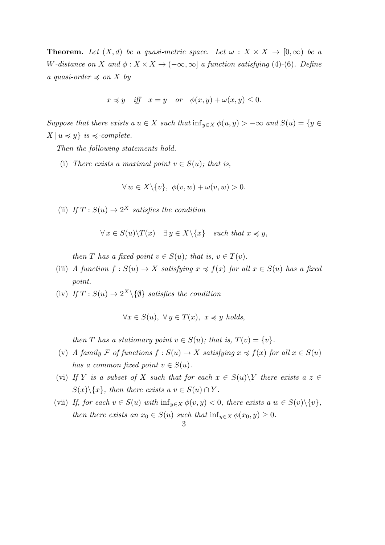**Theorem.** Let  $(X, d)$  be a quasi-metric space. Let  $\omega : X \times X \to [0, \infty)$  be a *W*<sup>-distance on *X* and  $\phi: X \times X \to (-\infty, \infty]$  *a function satisfying* (4)-(6)*. Define*</sup> *a* quasi-order  $\preccurlyeq$  on X by

$$
x \preccurlyeq y
$$
 iff  $x = y$  or  $\phi(x, y) + \omega(x, y) \leq 0$ .

*Suppose that there exists a*  $u \in X$  *such that*  $\inf_{y \in X} \phi(u, y) > -\infty$  *and*  $S(u) = \{y \in X\}$  $X \mid u \preccurlyeq y$ *} is*  $\preccurlyeq$ *-complete.* 

*Then the following statements hold.*

(i) *There exists a maximal point*  $v \in S(u)$ *; that is,* 

$$
\forall w \in X \setminus \{v\}, \ \phi(v, w) + \omega(v, w) > 0.
$$

(ii) *If*  $T : S(u) \to 2^X$  *satisfies the condition* 

$$
\forall x \in S(u) \backslash T(x) \quad \exists y \in X \backslash \{x\} \quad such \, that \, x \preccurlyeq y,
$$

*then T has a fixed point*  $v \in S(u)$ ; *that is,*  $v \in T(v)$ *.* 

- (iii) *A function*  $f : S(u) \to X$  *satisfying*  $x \preccurlyeq f(x)$  *for all*  $x \in S(u)$  *has a fixed point.*
- $(iv)$  *If*  $T : S(u) \to 2^X \setminus \{ \emptyset \}$  *satisfies the condition*

$$
\forall x \in S(u), \ \forall y \in T(x), \ x \preccurlyeq y \ holds,
$$

*then T has a stationary point*  $v \in S(u)$ ; *that is,*  $T(v) = \{v\}$ *.* 

- (v) *A family*  $\mathcal{F}$  *of functions*  $f : S(u) \to X$  *satisfying*  $x \preccurlyeq f(x)$  *for all*  $x \in S(u)$ *has a common fixed point*  $v \in S(u)$ *.*
- (vi) If *Y* is a subset of *X* such that for each  $x \in S(u) \ Y$  there exists  $a \ z \in$  $S(x)\setminus\{x\}$ *, then there exists a*  $v \in S(u) \cap Y$ *.*
- (vii) If, for each  $v \in S(u)$  with  $\inf_{y \in X} \phi(v, y) < 0$ , there exists  $a w \in S(v) \setminus \{v\}$ , *then there exists an*  $x_0 \in S(u)$  *such that*  $\inf_{y \in X} \phi(x_0, y) \geq 0$ *.*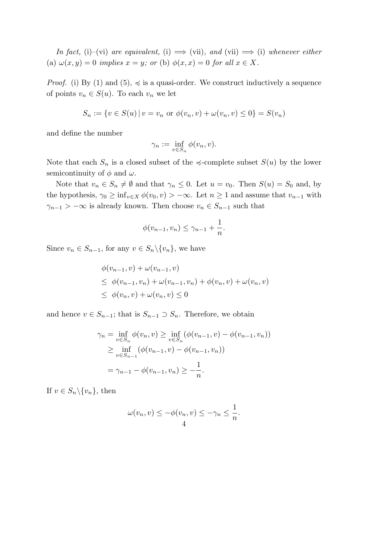*In fact,* (i)–(vi) *are equivalent,* (i)  $\implies$  (vii)*, and* (vii)  $\implies$  (i) *whenever either* (a)  $\omega(x, y) = 0$  *implies*  $x = y$ *; or* (b)  $\phi(x, x) = 0$  *for all*  $x \in X$ .

*Proof.* (i) By (1) and (5),  $\preccurlyeq$  is a quasi-order. We construct inductively a sequence of points  $v_n \in S(u)$ . To each  $v_n$  we let

$$
S_n := \{ v \in S(u) \mid v = v_n \text{ or } \phi(v_n, v) + \omega(v_n, v) \leq 0 \} = S(v_n)
$$

and define the number

$$
\gamma_n := \inf_{v \in S_n} \phi(v_n, v).
$$

Note that each  $S_n$  is a closed subset of the  $\prec$ -complete subset  $S(u)$  by the lower semicontinuity of  $\phi$  and  $\omega$ .

Note that  $v_n \in S_n \neq \emptyset$  and that  $\gamma_n \leq 0$ . Let  $u = v_0$ . Then  $S(u) = S_0$  and, by the hypothesis,  $\gamma_0 \ge \inf_{v \in X} \phi(v_0, v) > -\infty$ . Let  $n \ge 1$  and assume that  $v_{n-1}$  with *γ*<sub>*n*−1</sub> *>* −∞ is already known. Then choose  $v_n \text{ ∈ } S_{n-1}$  such that

$$
\phi(v_{n-1}, v_n) \le \gamma_{n-1} + \frac{1}{n}.
$$

Since  $v_n \in S_{n-1}$ , for any  $v \in S_n \setminus \{v_n\}$ , we have

$$
\begin{aligned} \phi(v_{n-1}, v) + \omega(v_{n-1}, v) \\ &\leq \phi(v_{n-1}, v_n) + \omega(v_{n-1}, v_n) + \phi(v_n, v) + \omega(v_n, v) \\ &\leq \phi(v_n, v) + \omega(v_n, v) \leq 0 \end{aligned}
$$

and hence  $v \in S_{n-1}$ ; that is  $S_{n-1} \supset S_n$ . Therefore, we obtain

$$
\gamma_n = \inf_{v \in S_n} \phi(v_n, v) \ge \inf_{v \in S_n} (\phi(v_{n-1}, v) - \phi(v_{n-1}, v_n))
$$
  
 
$$
\ge \inf_{v \in S_{n-1}} (\phi(v_{n-1}, v) - \phi(v_{n-1}, v_n))
$$
  
 
$$
= \gamma_{n-1} - \phi(v_{n-1}, v_n) \ge -\frac{1}{n}.
$$

If  $v \in S_n \setminus \{v_n\}$ , then

$$
\omega(v_n, v) \le -\phi(v_n, v) \le -\gamma_n \le \frac{1}{n}.
$$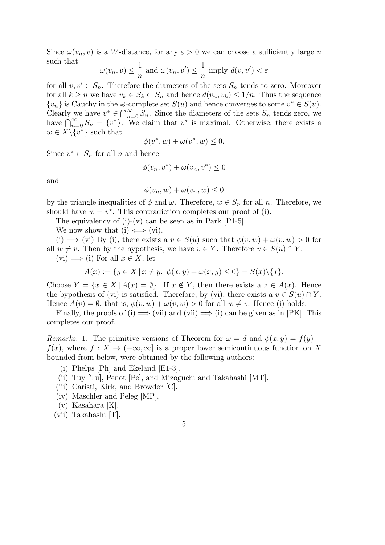Since  $\omega(v_n, v)$  is a *W*-distance, for any  $\varepsilon > 0$  we can choose a sufficiently large *n* such that

$$
\omega(v_n, v) \leq \frac{1}{n}
$$
 and  $\omega(v_n, v') \leq \frac{1}{n}$  imply  $d(v, v') < \varepsilon$ 

for all  $v, v' \in S_n$ . Therefore the diameters of the sets  $S_n$  tends to zero. Moreover for all  $k \geq n$  we have  $v_k \in S_k \subset S_n$  and hence  $d(v_n, v_k) \leq 1/n$ . Thus the sequence  ${v_n}$  is Cauchy in the  $\le$ -complete set *S*(*u*) and hence converges to some  $v^* \in S(u)$ . Clearly we have  $v^* \in \bigcap_{n=0}^{\infty} S_n$ . Since the diameters of the sets  $S_n$  tends zero, we have  $\bigcap_{n=0}^{\infty} S_n = \{v^*\}.$  We claim that  $v^*$  is maximal. Otherwise, there exists a  $w \in X \backslash \{v^*\}$  such that

$$
\phi(v^*, w) + \omega(v^*, w) \le 0.
$$

Since  $v^* \in S_n$  for all *n* and hence

$$
\phi(v_n, v^*) + \omega(v_n, v^*) \le 0
$$

and

$$
\phi(v_n, w) + \omega(v_n, w) \le 0
$$

by the triangle inequalities of  $\phi$  and  $\omega$ . Therefore,  $w \in S_n$  for all *n*. Therefore, we should have  $w = v^*$ . This contradiction completes our proof of (i).

The equivalency of  $(i)-(v)$  can be seen as in Park  $[P1-5]$ .

We now show that (i)  $\iff$  (vi).

(i)  $\implies$  (vi) By (i), there exists a  $v \in S(u)$  such that  $\phi(v, w) + \omega(v, w) > 0$  for all  $w \neq v$ . Then by the hypothesis, we have  $v \in Y$ . Therefore  $v \in S(u) \cap Y$ .  $(vi) \implies$  (i) For all  $x \in X$ , let

$$
A(x) := \{ y \in X \mid x \neq y, \ \phi(x, y) + \omega(x, y) \le 0 \} = S(x) \setminus \{x\}.
$$

Choose  $Y = \{x \in X \mid A(x) = \emptyset\}$ . If  $x \notin Y$ , then there exists a  $z \in A(x)$ . Hence the bypothesis of (vi) is satisfied. Therefore, by (vi), there exists a  $v \in S(u) \cap Y$ . Hence  $A(v) = \emptyset$ ; that is,  $\phi(v, w) + \omega(v, w) > 0$  for all  $w \neq v$ . Hence (i) holds.

Finally, the proofs of (i)  $\implies$  (vii) and (vii)  $\implies$  (i) can be given as in [PK]. This completes our proof.

*Remarks.* 1. The primitive versions of Theorem for  $\omega = d$  and  $\phi(x, y) = f(y) - f(x)$  $f(x)$ , where  $f: X \to (-\infty, \infty]$  is a proper lower semicontinuous function on X bounded from below, were obtained by the following authors:

- (i) Phelps [Ph] and Ekeland [E1-3].
- (ii) Tuy [Tu], Penot [Pe], and Mizoguchi and Takahashi [MT].
- (iii) Caristi, Kirk, and Browder [C].
- (iv) Maschler and Peleg [MP].
- (v) Kasahara [K].
- (vii) Takahashi [T].

## 5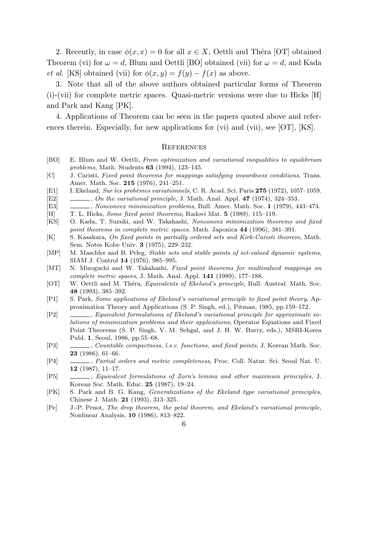2. Recently, in case  $\phi(x, x) = 0$  for all  $x \in X$ , Oettli and Théra [OT] obtained Theorem (vi) for  $\omega = d$ , Blum and Oettli [BO] obtained (vii) for  $\omega = d$ , and Kada *et al.* [KS] obtained (vii) for  $\phi(x, y) = f(y) - f(x)$  as above.

3. Note that all of the above authors obtained particular forms of Theorem (i)-(vii) for complete metric spaces. Quasi-metric versions were due to Hicks [H] and Park and Kang [PK].

4. Applications of Theorem can be seen in the papers quoted above and references therein. Especially, for new applications for (vi) and (vii), see [OT], [KS].

### **REFERENCES**

- [BO] E. Blum and W. Oettli, *From optimization and variational inequalities to equilibrium problems*, Math. Students **63** (1994), 123–145.
- [C] J. Caristi, *Fixed point theorems for mappings satisfying inwardness conditions*, Trans. Amer. Math. Soc. **215** (1976), 241–251.
- [E1] I. Ekeland, *Sur les prob`emes variationnels*, C. R. Acad. Sci. Paris **275** (1972), 1057–1059.
- [E2] , *On the variational principle*, J. Math. Anal. Appl. **47** (1974), 324–353.
- [E3] , *Nonconvex minimization problems*, Bull. Amer. Math. Soc. **1** (1979), 443–474.
- [H] T. L. Hicks, *Some fixed point theorems*, Radovi Mat. **5** (1989), 115–119.
- [KS] O. Kada, T. Suzuki, and W. Takahashi, *Nonconvex minimization theorems and fixed point theorems in complete metric spaces*, Math. Japonica **44** (1996), 381–391.
- [K] S. Kasahara, *On fixed points in partially ordered sets and Kirk-Caristi theorem*, Math. Sem. Notes Kobe Univ. **3** (1975), 229–232.
- [MP] M. Maschler and B. Peleg, *Stable sets and stable points of set-valued dynamic systems*, SIAM J. Control **14** (1976), 985–995.
- [MT] N. Mizoguchi and W. Takahashi, *Fixed point theorems for multivalued mappings on complete metric spaces*, J. Math. Anal. Appl. **141** (1989), 177–188.
- [OT] W. Oettli and M. Théra, *Equivalents of Ekeland's principle*, Bull. Austral. Math. Soc. **48** (1993), 385–392.
- [P1] S. Park, *Some applications of Ekeland's variational principle to fixed point theory*, Approximation Theory and Applications (S. P. Singh, ed.), Pitman, 1985, pp.159–172.
- [P2] , *Equivalent formulations of Ekeland's variational principle for approximate solutions of minimization problems and their applications*, Operator Equations and Fixed Point Theorems (S. P. Singh, V. M. Sehgal, and J. H. W. Burry, eds.), MSRI-Korea Publ. **1**, Seoul, 1986, pp.55–68.
- [P3] , *Countable compactness, l.s.c. functions, and fixed points*, J. Korean Math. Soc. **23** (1986), 61–66.
- [P4] , *Partial orders and metric completeness*, Proc. Coll. Natur. Sci. Seoul Nat. U. **12** (1987), 11–17.
- [P5] , *Equivalent formulations of Zorn's lemma and other maximum principles*, J. Korean Soc. Math. Educ. **25** (1987), 19–24.
- [PK] S. Park and B. G. Kang, *Generalizations of the Ekeland type variational principles*, Chinese J. Math. **21** (1993), 313–325.
- [Pe] J.-P. Penot, *The drop theorem, the petal theorem, and Ekeland's variational principle*, Nonlinear Analysis, **10** (1986), 813–822.
	- 6